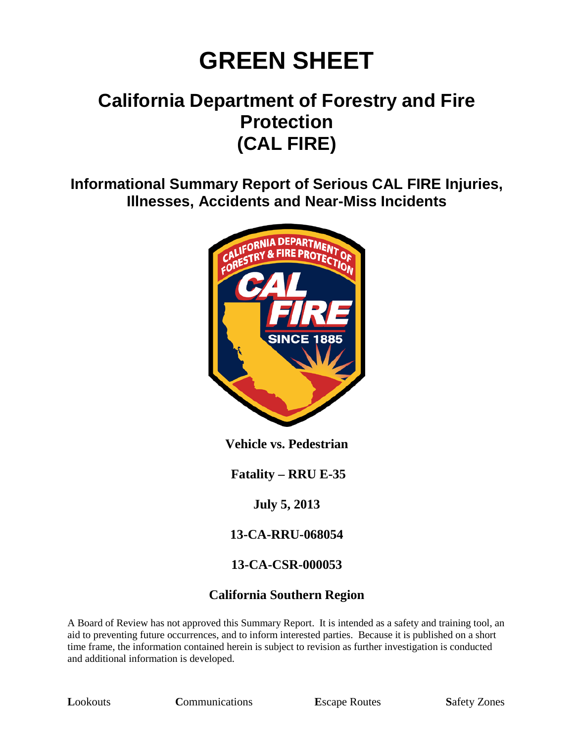# **GREEN SHEET**

# **California Department of Forestry and Fire Protection (CAL FIRE)**

**Informational Summary Report of Serious CAL FIRE Injuries, Illnesses, Accidents and Near-Miss Incidents**



**Vehicle vs. Pedestrian**

**Fatality – RRU E-35**

**July 5, 2013**

**13-CA-RRU-068054**

#### **13-CA-CSR-000053**

#### **California Southern Region**

A Board of Review has not approved this Summary Report. It is intended as a safety and training tool, an aid to preventing future occurrences, and to inform interested parties. Because it is published on a short time frame, the information contained herein is subject to revision as further investigation is conducted and additional information is developed.

**Lookouts Communications E**scape Routes **Safety Zones**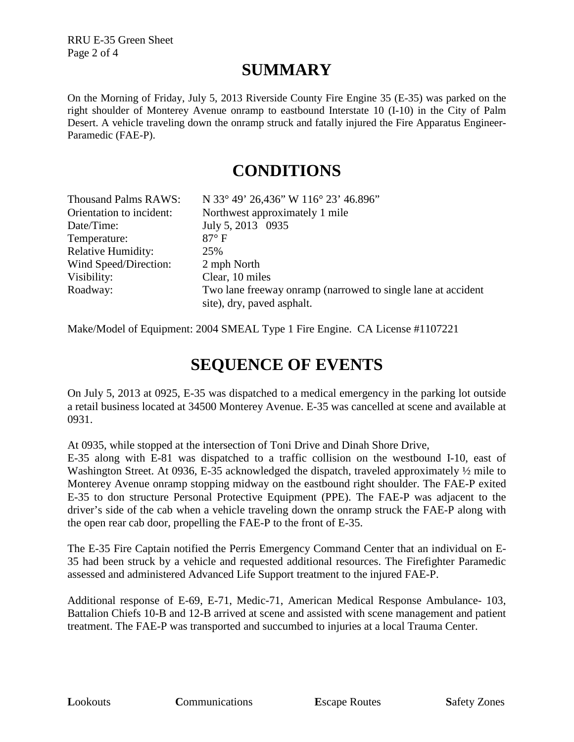RRU E-35 Green Sheet Page 2 of 4

## **SUMMARY**

On the Morning of Friday, July 5, 2013 Riverside County Fire Engine 35 (E-35) was parked on the right shoulder of Monterey Avenue onramp to eastbound Interstate 10 (I-10) in the City of Palm Desert. A vehicle traveling down the onramp struck and fatally injured the Fire Apparatus Engineer-Paramedic (FAE-P).

### **CONDITIONS**

| <b>Thousand Palms RAWS:</b> | N 33° 49' 26,436" W 116° 23' 46.896"                                                       |
|-----------------------------|--------------------------------------------------------------------------------------------|
| Orientation to incident:    | Northwest approximately 1 mile                                                             |
| Date/Time:                  | July 5, 2013 0935                                                                          |
| Temperature:                | $87^\circ$ F                                                                               |
| <b>Relative Humidity:</b>   | 25%                                                                                        |
| Wind Speed/Direction:       | 2 mph North                                                                                |
| Visibility:                 | Clear, 10 miles                                                                            |
| Roadway:                    | Two lane freeway onramp (narrowed to single lane at accident<br>site), dry, paved asphalt. |

Make/Model of Equipment: 2004 SMEAL Type 1 Fire Engine. CA License #1107221

## **SEQUENCE OF EVENTS**

On July 5, 2013 at 0925, E-35 was dispatched to a medical emergency in the parking lot outside a retail business located at 34500 Monterey Avenue. E-35 was cancelled at scene and available at 0931.

At 0935, while stopped at the intersection of Toni Drive and Dinah Shore Drive,

E-35 along with E-81 was dispatched to a traffic collision on the westbound I-10, east of Washington Street. At 0936, E-35 acknowledged the dispatch, traveled approximately  $\frac{1}{2}$  mile to Monterey Avenue onramp stopping midway on the eastbound right shoulder. The FAE-P exited E-35 to don structure Personal Protective Equipment (PPE). The FAE-P was adjacent to the driver's side of the cab when a vehicle traveling down the onramp struck the FAE-P along with the open rear cab door, propelling the FAE-P to the front of E-35.

The E-35 Fire Captain notified the Perris Emergency Command Center that an individual on E-35 had been struck by a vehicle and requested additional resources. The Firefighter Paramedic assessed and administered Advanced Life Support treatment to the injured FAE-P.

Additional response of E-69, E-71, Medic-71, American Medical Response Ambulance- 103, Battalion Chiefs 10-B and 12-B arrived at scene and assisted with scene management and patient treatment. The FAE-P was transported and succumbed to injuries at a local Trauma Center.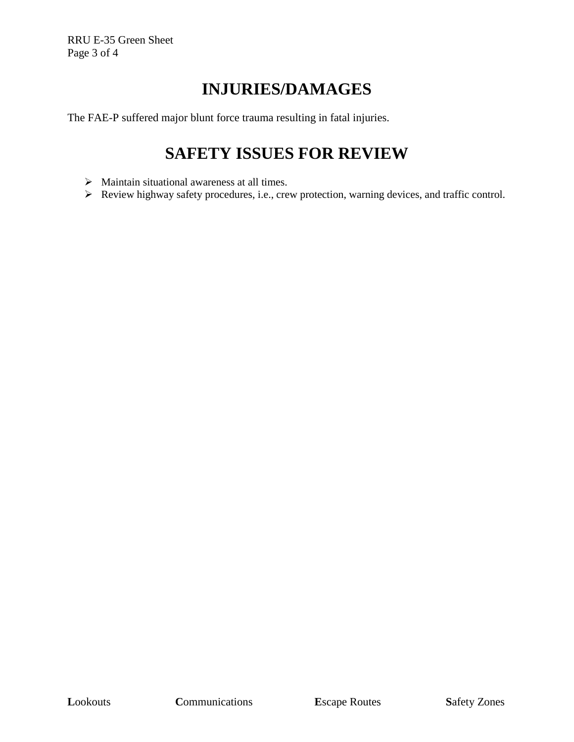RRU E-35 Green Sheet Page 3 of 4

# **INJURIES/DAMAGES**

The FAE-P suffered major blunt force trauma resulting in fatal injuries.

## **SAFETY ISSUES FOR REVIEW**

- $\triangleright$  Maintain situational awareness at all times.
- Review highway safety procedures, i.e., crew protection, warning devices, and traffic control.